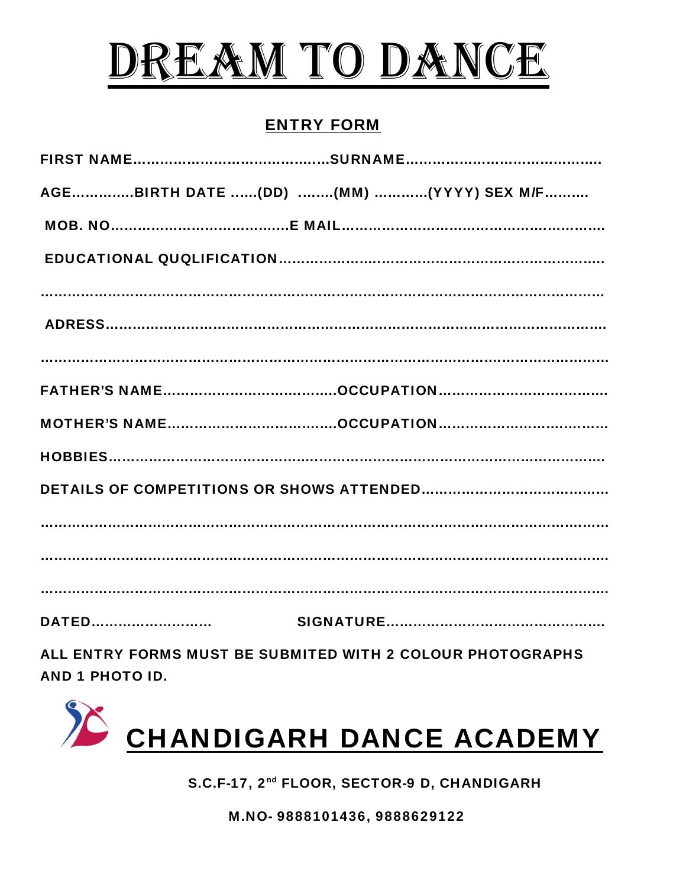

## ENTRY FORM

| AGEBIRTH DATE (DD) (MM) (YYYY) SEX M/F |
|----------------------------------------|
|                                        |
|                                        |
|                                        |
|                                        |
|                                        |
|                                        |
|                                        |
|                                        |
|                                        |
|                                        |
|                                        |
|                                        |
| <b>DATED</b>                           |

ALL ENTRY FORMS MUST BE SUBMITED WITH 2 COLOUR PHOTOGRAPHS AND 1 PHOTO ID.



S.C.F-17, 2<sup>nd</sup> FLOOR, SECTOR-9 D, CHANDIGARH

M.NO- 9888101436, 9888629122